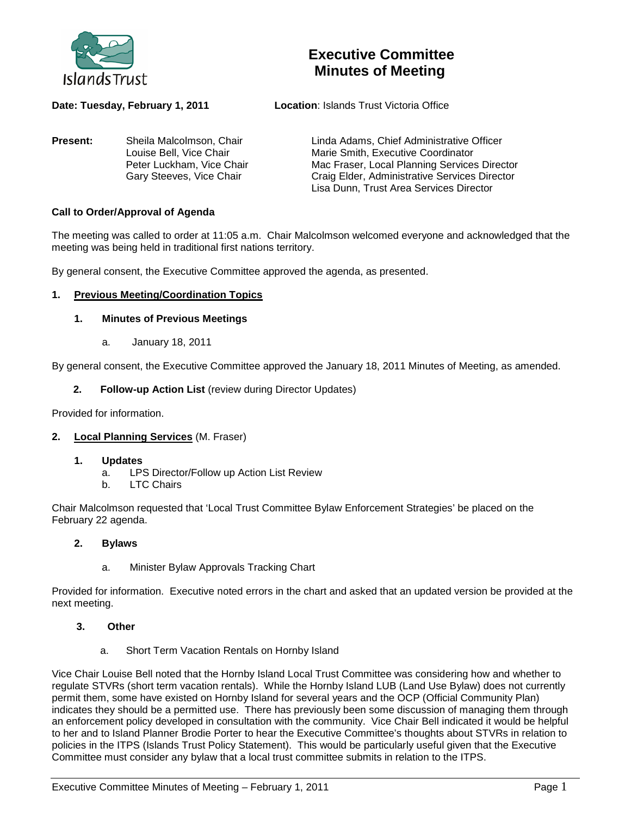

# **Executive Committee Minutes of Meeting**

**Present:** Sheila Malcolmson, Chair Linda Adams, Chief Administrative Officer<br>Louise Bell. Vice Chair Marie Smith. Executive Coordinator

**Date: Tuesday, February 1, 2011 Location**: Islands Trust Victoria Office

Louise Bell, Vice Chair **Marie Smith, Executive Coordinator**<br>
Peter Luckham, Vice Chair **Mac Fraser, Local Planning Services** Peter Luckham, Vice Chair **Mac Fraser, Local Planning Services Director**<br>Gary Steeves, Vice Chair **Mac Craig Elder, Administrative Services Director** Craig Elder, Administrative Services Director Lisa Dunn, Trust Area Services Director

## **Call to Order/Approval of Agenda**

The meeting was called to order at 11:05 a.m. Chair Malcolmson welcomed everyone and acknowledged that the meeting was being held in traditional first nations territory.

By general consent, the Executive Committee approved the agenda, as presented.

#### **1. Previous Meeting/Coordination Topics**

#### **1. Minutes of Previous Meetings**

a. January 18, 2011

By general consent, the Executive Committee approved the January 18, 2011 Minutes of Meeting, as amended.

#### **2. Follow-up Action List** (review during Director Updates)

Provided for information.

## **2. Local Planning Services** (M. Fraser)

- **1. Updates**
	- a. LPS Director/Follow up Action List Review
	- b. LTC Chairs

Chair Malcolmson requested that 'Local Trust Committee Bylaw Enforcement Strategies' be placed on the February 22 agenda.

- **2. Bylaws**
	- a. Minister Bylaw Approvals Tracking Chart

Provided for information. Executive noted errors in the chart and asked that an updated version be provided at the next meeting.

- **3. Other**
	- a. Short Term Vacation Rentals on Hornby Island

Vice Chair Louise Bell noted that the Hornby Island Local Trust Committee was considering how and whether to regulate STVRs (short term vacation rentals). While the Hornby Island LUB (Land Use Bylaw) does not currently permit them, some have existed on Hornby Island for several years and the OCP (Official Community Plan) indicates they should be a permitted use. There has previously been some discussion of managing them through an enforcement policy developed in consultation with the community. Vice Chair Bell indicated it would be helpful to her and to Island Planner Brodie Porter to hear the Executive Committee's thoughts about STVRs in relation to policies in the ITPS (Islands Trust Policy Statement). This would be particularly useful given that the Executive Committee must consider any bylaw that a local trust committee submits in relation to the ITPS.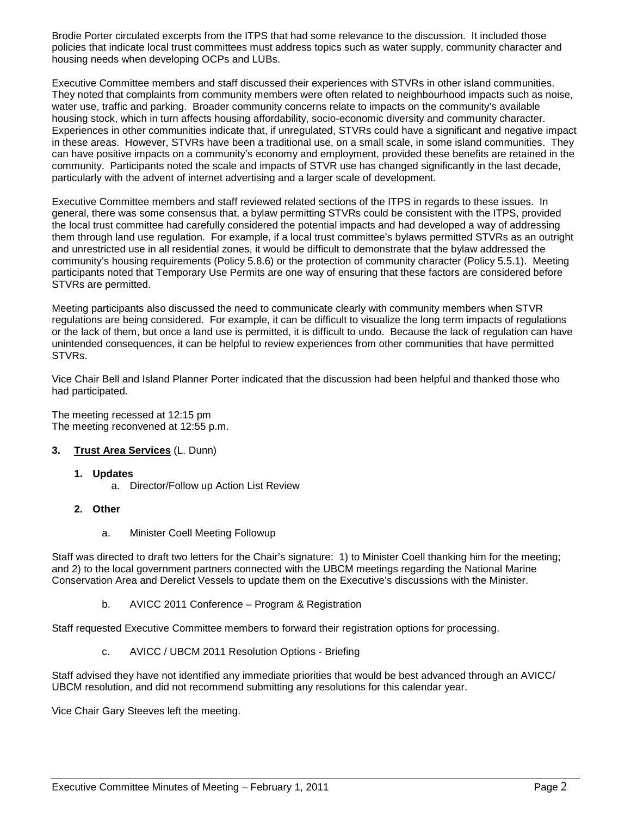Brodie Porter circulated excerpts from the ITPS that had some relevance to the discussion. It included those policies that indicate local trust committees must address topics such as water supply, community character and housing needs when developing OCPs and LUBs.

Executive Committee members and staff discussed their experiences with STVRs in other island communities. They noted that complaints from community members were often related to neighbourhood impacts such as noise, water use, traffic and parking. Broader community concerns relate to impacts on the community's available housing stock, which in turn affects housing affordability, socio-economic diversity and community character. Experiences in other communities indicate that, if unregulated, STVRs could have a significant and negative impact in these areas. However, STVRs have been a traditional use, on a small scale, in some island communities. They can have positive impacts on a community's economy and employment, provided these benefits are retained in the community. Participants noted the scale and impacts of STVR use has changed significantly in the last decade, particularly with the advent of internet advertising and a larger scale of development.

Executive Committee members and staff reviewed related sections of the ITPS in regards to these issues. In general, there was some consensus that, a bylaw permitting STVRs could be consistent with the ITPS, provided the local trust committee had carefully considered the potential impacts and had developed a way of addressing them through land use regulation. For example, if a local trust committee's bylaws permitted STVRs as an outright and unrestricted use in all residential zones, it would be difficult to demonstrate that the bylaw addressed the community's housing requirements (Policy 5.8.6) or the protection of community character (Policy 5.5.1). Meeting participants noted that Temporary Use Permits are one way of ensuring that these factors are considered before STVRs are permitted.

Meeting participants also discussed the need to communicate clearly with community members when STVR regulations are being considered. For example, it can be difficult to visualize the long term impacts of regulations or the lack of them, but once a land use is permitted, it is difficult to undo. Because the lack of regulation can have unintended consequences, it can be helpful to review experiences from other communities that have permitted STVRs.

Vice Chair Bell and Island Planner Porter indicated that the discussion had been helpful and thanked those who had participated.

The meeting recessed at 12:15 pm The meeting reconvened at 12:55 p.m.

## **3. Trust Area Services** (L. Dunn)

#### **1. Updates**

a. Director/Follow up Action List Review

### **2. Other**

a. Minister Coell Meeting Followup

Staff was directed to draft two letters for the Chair's signature: 1) to Minister Coell thanking him for the meeting; and 2) to the local government partners connected with the UBCM meetings regarding the National Marine Conservation Area and Derelict Vessels to update them on the Executive's discussions with the Minister.

b. AVICC 2011 Conference – Program & Registration

Staff requested Executive Committee members to forward their registration options for processing.

c. AVICC / UBCM 2011 Resolution Options - Briefing

Staff advised they have not identified any immediate priorities that would be best advanced through an AVICC/ UBCM resolution, and did not recommend submitting any resolutions for this calendar year.

Vice Chair Gary Steeves left the meeting.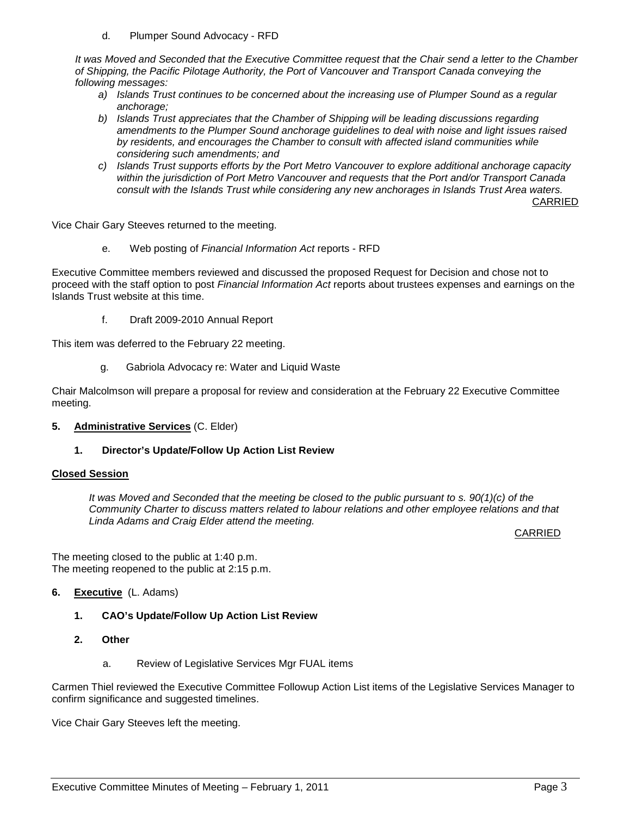d. Plumper Sound Advocacy - RFD

*It was Moved and Seconded that the Executive Committee request that the Chair send a letter to the Chamber of Shipping, the Pacific Pilotage Authority, the Port of Vancouver and Transport Canada conveying the following messages:*

- *a) Islands Trust continues to be concerned about the increasing use of Plumper Sound as a regular anchorage;*
- *b) Islands Trust appreciates that the Chamber of Shipping will be leading discussions regarding amendments to the Plumper Sound anchorage guidelines to deal with noise and light issues raised by residents, and encourages the Chamber to consult with affected island communities while considering such amendments; and*
- *c) Islands Trust supports efforts by the Port Metro Vancouver to explore additional anchorage capacity within the jurisdiction of Port Metro Vancouver and requests that the Port and/or Transport Canada consult with the Islands Trust while considering any new anchorages in Islands Trust Area waters.*

CARRIED

Vice Chair Gary Steeves returned to the meeting.

e. Web posting of *Financial Information Act* reports - RFD

Executive Committee members reviewed and discussed the proposed Request for Decision and chose not to proceed with the staff option to post *Financial Information Act* reports about trustees expenses and earnings on the Islands Trust website at this time.

f. Draft 2009-2010 Annual Report

This item was deferred to the February 22 meeting.

g. Gabriola Advocacy re: Water and Liquid Waste

Chair Malcolmson will prepare a proposal for review and consideration at the February 22 Executive Committee meeting.

**5. Administrative Services** (C. Elder)

## **1. Director's Update/Follow Up Action List Review**

#### **Closed Session**

*It was Moved and Seconded that the meeting be closed to the public pursuant to s. 90(1)(c) of the Community Charter to discuss matters related to labour relations and other employee relations and that Linda Adams and Craig Elder attend the meeting.*

CARRIED

The meeting closed to the public at 1:40 p.m. The meeting reopened to the public at 2:15 p.m.

## **6. Executive** (L. Adams)

- **1. CAO's Update/Follow Up Action List Review**
- **2. Other**
	- a. Review of Legislative Services Mgr FUAL items

Carmen Thiel reviewed the Executive Committee Followup Action List items of the Legislative Services Manager to confirm significance and suggested timelines.

Vice Chair Gary Steeves left the meeting.